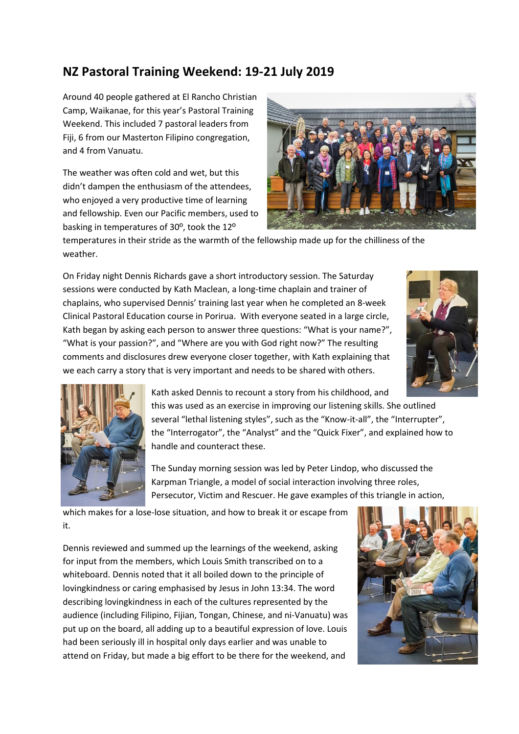## **NZ Pastoral Training Weekend: 19-21 July 2019**

Around 40 people gathered at El Rancho Christian Camp, Waikanae, for this year's Pastoral Training Weekend. This included 7 pastoral leaders from Fiji, 6 from our Masterton Filipino congregation, and 4 from Vanuatu.

The weather was often cold and wet, but this didn't dampen the enthusiasm of the attendees, who enjoyed a very productive time of learning and fellowship. Even our Pacific members, used to basking in temperatures of 30º, took the 12º



temperatures in their stride as the warmth of the fellowship made up for the chilliness of the weather.

On Friday night Dennis Richards gave a short introductory session. The Saturday sessions were conducted by Kath Maclean, a long-time chaplain and trainer of chaplains, who supervised Dennis' training last year when he completed an 8-week Clinical Pastoral Education course in Porirua. With everyone seated in a large circle, Kath began by asking each person to answer three questions: "What is your name?", "What is your passion?", and "Where are you with God right now?" The resulting comments and disclosures drew everyone closer together, with Kath explaining that we each carry a story that is very important and needs to be shared with others.





Kath asked Dennis to recount a story from his childhood, and this was used as an exercise in improving our listening skills. She outlined several "lethal listening styles", such as the "Know-it-all", the "Interrupter", the "Interrogator", the "Analyst" and the "Quick Fixer", and explained how to handle and counteract these.

The Sunday morning session was led by Peter Lindop, who discussed the Karpman Triangle, a model of social interaction involving three roles, Persecutor, Victim and Rescuer. He gave examples of this triangle in action,

which makes for a lose-lose situation, and how to break it or escape from it.

Dennis reviewed and summed up the learnings of the weekend, asking for input from the members, which Louis Smith transcribed on to a whiteboard. Dennis noted that it all boiled down to the principle of lovingkindness or caring emphasised by Jesus in John 13:34. The word describing lovingkindness in each of the cultures represented by the audience (including Filipino, Fijian, Tongan, Chinese, and ni-Vanuatu) was put up on the board, all adding up to a beautiful expression of love. Louis had been seriously ill in hospital only days earlier and was unable to attend on Friday, but made a big effort to be there for the weekend, and